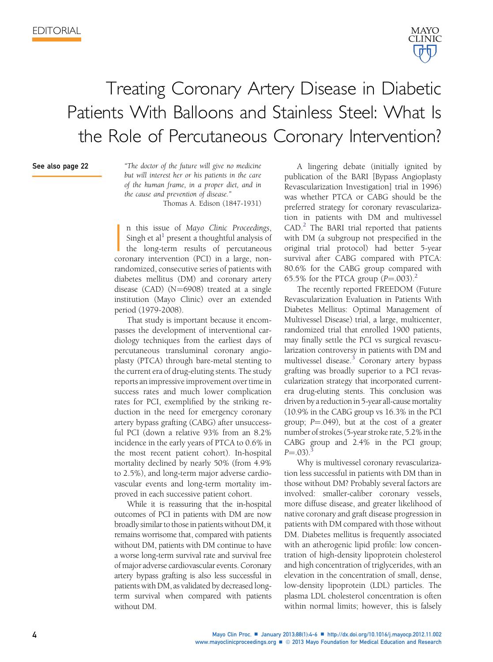

## Treating Coronary Artery Disease in Diabetic Patients With Balloons and Stainless Steel: What Is the Role of Percutaneous Coronary Intervention?

## See also page 22

"The doctor of the future will give no medicine but will interest her or his patients in the care of the human frame, in a proper diet, and in the cause and prevention of disease."

Thomas A. Edison (1847-1931)

 $\overline{\phantom{a}}$ n this issue of Mayo Clinic Proceedings, Singh et al<sup>[1](#page-2-0)</sup> present a thoughtful analysis of the long-term results of percutaneous coronary intervention (PCI) in a large, nonrandomized, consecutive series of patients with diabetes mellitus (DM) and coronary artery disease (CAD)  $(N=6908)$  treated at a single institution (Mayo Clinic) over an extended period (1979-2008).

That study is important because it encompasses the development of interventional cardiology techniques from the earliest days of percutaneous transluminal coronary angioplasty (PTCA) through bare-metal stenting to the current era of drug-eluting stents. The study reports an impressive improvement over time in success rates and much lower complication rates for PCI, exemplified by the striking reduction in the need for emergency coronary artery bypass grafting (CABG) after unsuccessful PCI (down a relative 93% from an 8.2% incidence in the early years of PTCA to 0.6% in the most recent patient cohort). In-hospital mortality declined by nearly 50% (from 4.9% to 2.5%), and long-term major adverse cardiovascular events and long-term mortality improved in each successive patient cohort.

While it is reassuring that the in-hospital outcomes of PCI in patients with DM are now broadly similar to those in patients without DM, it remains worrisome that, compared with patients without DM, patients with DM continue to have a worse long-term survival rate and survival free of major adverse cardiovascular events. Coronary artery bypass grafting is also less successful in patients with DM, as validated by decreased longterm survival when compared with patients without DM.

A lingering debate (initially ignited by publication of the BARI [Bypass Angioplasty Revascularization Investigation] trial in 1996) was whether PTCA or CABG should be the preferred strategy for coronary revascularization in patients with DM and multivessel  $CAD.^2$  $CAD.^2$  The BARI trial reported that patients with DM (a subgroup not prespecified in the original trial protocol) had better 5-year survival after CABG compared with PTCA: 80.6% for the CABG group compared with 65.5% for the PTCA group  $(P=.003).$ <sup>[2](#page-2-0)</sup>

The recently reported FREEDOM (Future Revascularization Evaluation in Patients With Diabetes Mellitus: Optimal Management of Multivessel Disease) trial, a large, multicenter, randomized trial that enrolled 1900 patients, may finally settle the PCI vs surgical revascularization controversy in patients with DM and multivessel disease.<sup>[3](#page-2-0)</sup> Coronary artery bypass grafting was broadly superior to a PCI revascularization strategy that incorporated currentera drug-eluting stents. This conclusion was driven by a reduction in 5-year all-cause mortality (10.9% in the CABG group vs 16.3% in the PCI group;  $P = .049$ ), but at the cost of a greater number of strokes (5-year stroke rate, 5.2% in the CABG group and 2.4% in the PCI group;  $P = .03)$  $P = .03)$  $P = .03)$ .

Why is multivessel coronary revascularization less successful in patients with DM than in those without DM? Probably several factors are involved: smaller-caliber coronary vessels, more diffuse disease, and greater likelihood of native coronary and graft disease progression in patients with DM compared with those without DM. Diabetes mellitus is frequently associated with an atherogenic lipid profile: low concentration of high-density lipoprotein cholesterol and high concentration of triglycerides, with an elevation in the concentration of small, dense, low-density lipoprotein (LDL) particles. The plasma LDL cholesterol concentration is often within normal limits; however, this is falsely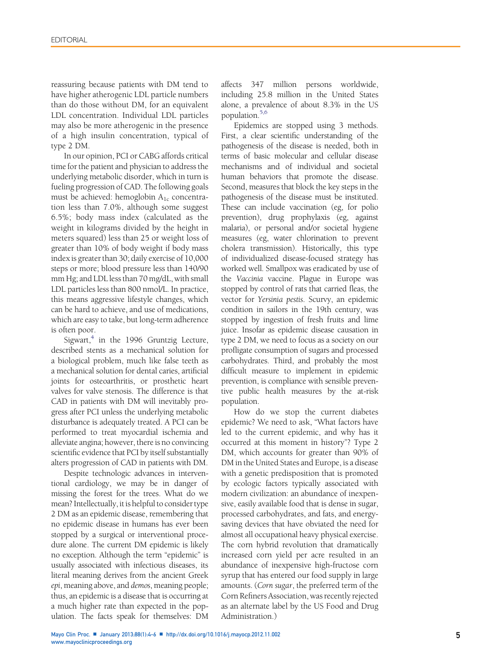reassuring because patients with DM tend to have higher atherogenic LDL particle numbers than do those without DM, for an equivalent LDL concentration. Individual LDL particles may also be more atherogenic in the presence of a high insulin concentration, typical of type 2 DM.

In our opinion, PCI or CABG affords critical time for the patient and physician to address the underlying metabolic disorder, which in turn is fueling progression of CAD. The following goals must be achieved: hemoglobin  $A_{1c}$  concentration less than 7.0%, although some suggest 6.5%; body mass index (calculated as the weight in kilograms divided by the height in meters squared) less than 25 or weight loss of greater than 10% of body weight if body mass index is greater than 30; daily exercise of 10,000 steps or more; blood pressure less than 140/90 mm Hg; and LDL less than 70 mg/dL, with small LDL particles less than 800 nmol/L. In practice, this means aggressive lifestyle changes, which can be hard to achieve, and use of medications, which are easy to take, but long-term adherence is often poor.

Sigwart, $4$  in the 1996 Gruntzig Lecture, described stents as a mechanical solution for a biological problem, much like false teeth as a mechanical solution for dental caries, artificial joints for osteoarthritis, or prosthetic heart valves for valve stenosis. The difference is that CAD in patients with DM will inevitably progress after PCI unless the underlying metabolic disturbance is adequately treated. A PCI can be performed to treat myocardial ischemia and alleviate angina; however, there is no convincing scientific evidence that PCI by itself substantially alters progression of CAD in patients with DM.

Despite technologic advances in interventional cardiology, we may be in danger of missing the forest for the trees. What do we mean? Intellectually, it is helpful to consider type 2 DM as an epidemic disease, remembering that no epidemic disease in humans has ever been stopped by a surgical or interventional procedure alone. The current DM epidemic is likely no exception. Although the term "epidemic" is usually associated with infectious diseases, its literal meaning derives from the ancient Greek epi, meaning above, and demos, meaning people; thus, an epidemic is a disease that is occurring at a much higher rate than expected in the population. The facts speak for themselves: DM

affects 347 million persons worldwide, including 25.8 million in the United States alone, a prevalence of about 8.3% in the US population[.5,6](#page-2-0)

Epidemics are stopped using 3 methods. First, a clear scientific understanding of the pathogenesis of the disease is needed, both in terms of basic molecular and cellular disease mechanisms and of individual and societal human behaviors that promote the disease. Second, measures that block the key steps in the pathogenesis of the disease must be instituted. These can include vaccination (eg, for polio prevention), drug prophylaxis (eg, against malaria), or personal and/or societal hygiene measures (eg, water chlorination to prevent cholera transmission). Historically, this type of individualized disease-focused strategy has worked well. Smallpox was eradicated by use of the Vaccinia vaccine. Plague in Europe was stopped by control of rats that carried fleas, the vector for Yersinia pestis. Scurvy, an epidemic condition in sailors in the 19th century, was stopped by ingestion of fresh fruits and lime juice. Insofar as epidemic disease causation in type 2 DM, we need to focus as a society on our profligate consumption of sugars and processed carbohydrates. Third, and probably the most difficult measure to implement in epidemic prevention, is compliance with sensible preventive public health measures by the at-risk population.

How do we stop the current diabetes epidemic? We need to ask, "What factors have led to the current epidemic, and why has it occurred at this moment in history"? Type 2 DM, which accounts for greater than 90% of DM in the United States and Europe, is a disease with a genetic predisposition that is promoted by ecologic factors typically associated with modern civilization: an abundance of inexpensive, easily available food that is dense in sugar, processed carbohydrates, and fats, and energysaving devices that have obviated the need for almost all occupational heavy physical exercise. The corn hybrid revolution that dramatically increased corn yield per acre resulted in an abundance of inexpensive high-fructose corn syrup that has entered our food supply in large amounts. (Corn sugar, the preferred term of the Corn Refiners Association, was recently rejected as an alternate label by the US Food and Drug Administration.)